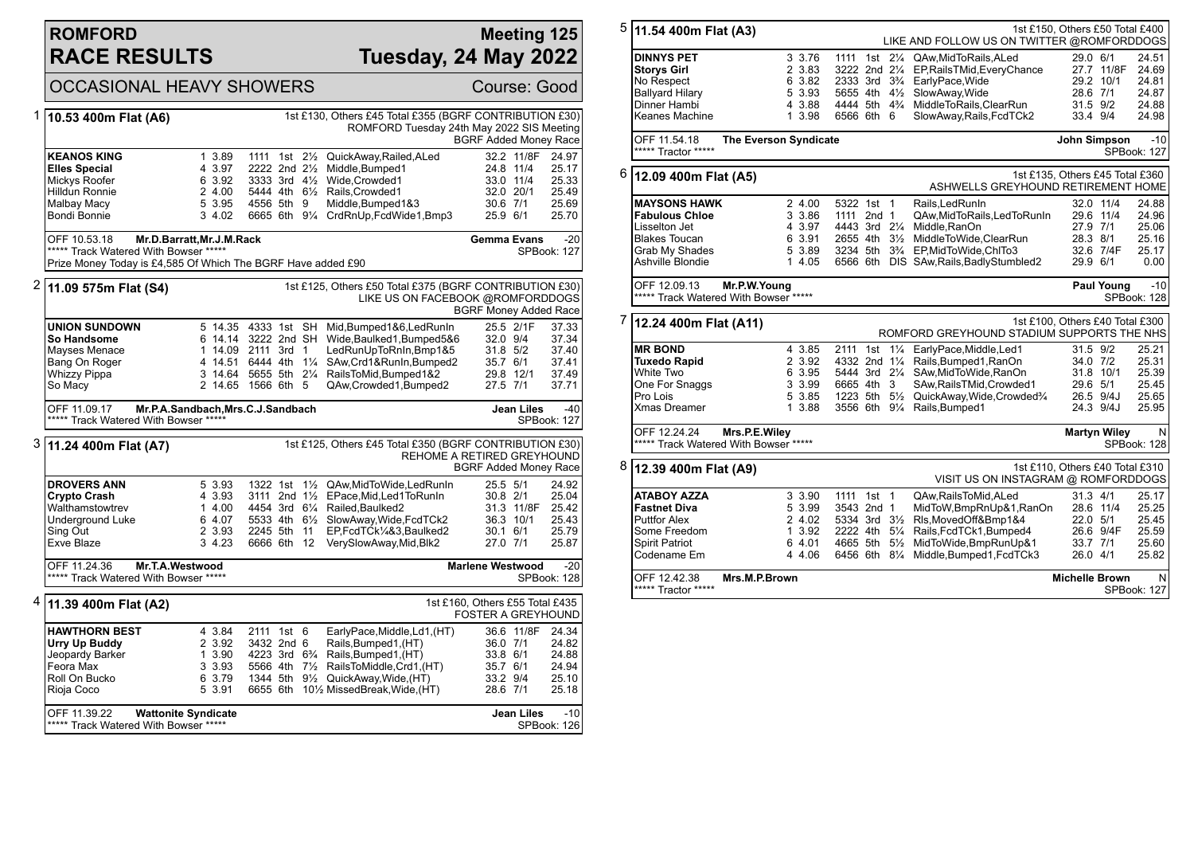### **ROMFORD RACE RESULTS**

#### **Meeting 125 Tuesday, 24 May 2022**

OCCASIONAL HEAVY SHOWERS Course: Good 1 **10.53 400m Flat (A6)** 1st £130, Others £45 Total £355 (BGRF CONTRIBUTION £30) ROMFORD Tuesday 24th May 2022 SIS Meeting BGRF Added Money Race **KEANOS KING** 1 3.89 1111 1st 2<sup>1</sup>/<sub>2</sub> QuickAway,Railed,ALed 32.2 11/8F 24.97<br> **Elles Special** 11/4 25.17 2222 2nd 2<sup>1</sup>/<sub>2</sub> Middle.Bumped1 24.8 11/4 25.17 **Elles Special** 4 3.97 2222 2nd 2<sup>1</sup>/<sub>2</sub> Middle,Bumped1 24.8 11/4 25.17<br>Mickys Roofer 6 3.92 3333 3rd 4<sup>1</sup>/<sub>2</sub> Wide Crowded1 33.0 11/4 25.33  $\frac{6}{2}$  3.92 3.333 3rd 4½ Wide,Crowded1 33.0 11/4 2 4.00 5444 4th 6¼ Rails Crowded1 32.0 20/1 Hilldun Ronnie 2 4.00 5444 4th 6½ Rails,Crowded1 32.0 20/1 25.49 Malbay Macy **5 3.95 4556 5th 9 Middle,Bumped1&3** 30.6 7/1 25.69<br>Bondi Bonnie 3 4.02 6665 6th 9<sup>1</sup>/<sub>4</sub> CrdRnUp.FcdWide1.Bmp3 25.9 6/1 25.70 6665 6th 9¼ CrdRnUp,FcdWide1,Bmp3 OFF 10.53.18 **Mr.D.Barratt,Mr.J.M.Rack** \*\*\*\*\* Track Watered With Bowser \*\*\*\*\* Prize Money Today is £4,585 Of Which The BGRF Have added £90 **Gemma Evans** -20 SPBook: 127 2 **11.09 575m Flat (S4)** 1st £125, Others £50 Total £375 (BGRF CONTRIBUTION £30) LIKE US ON FACEBOOK @ROMFORDDOGS BGRF Money Added Race **UNION SUNDOWN** 5 14.35 4333 1st SH Mid,Bumped1&6,LedRunIn 25.5 2/1F 37.33<br> **So Handsome** 6 14.14 3222 2nd SH Wide.Baulked1.Bumped5&6 32.0 9/4 37.34 **So Handsome** 6 14.14 3222 2nd SH Wide,Baulked1,Bumped5&6 32.0 9/4 37.34 Mayses Menace 1 14.09 2111 3rd 1 LedRunUpToRnIn, Bmp1&5 31.8 5/2<br>Bang On Roger 4 14.51 6444 4th 11/4 SAw, Crd1&RunIn, Bumped2 35.7 6/1 Bang On Roger 4 14.51 6444 4th 1¼ SAw,Crd1&RunIn,Bumped2 35.7 6/1 37.41 Whizzy Pippa 3 14.64 5655 5th 21/4 RailsToMid,Bumped1&2 29.8 12/1<br>So Macy 3 29.8 2 14.65 1566 6th 5 QAw,Crowded1,Bumped2 27.5 7/1 2 14.65 1566 6th 5 QAw, Crowded 1, Bumped 2 27.5 7/1 37.71 OFF 11.09.17 **Mr.P.A.Sandbach,Mrs.C.J.Sandbach** \*\*\*\*\* Track Watered With Bowser \*\*\*\*\* **Jean Liles** -40 SPBook: 127 3 **11.24 400m Flat (A7)** 1st £125, Others £45 Total £350 (BGRF CONTRIBUTION £30) REHOME A RETIRED GREYHOUND BGRF Added Money Race **DROVERS ANN** 5 3.93 1322 1st 1<sup>1</sup>/<sub>2</sub> QAw,MidToWide,LedRunIn 25.5 5/1 24.92<br> **Crypto Crash** 4 3.93 3111 2nd 1<sup>1</sup>/<sub>2</sub> EPace.Mid.Led1ToRunIn 30.8 2/1 25.04 **Crypto Crash** 4 3.93 3111 2nd 1<sup>1</sup>/<sub>2</sub> EPace,Mid,Led1ToRunIn 30.8 2/1<br>
Walthamstowtrev 1 4.00 4454 3rd 6<sup>1</sup>/<sub>4</sub> Railed.Baulked2 31.3 11/8F Walthamstowtrev 1 4.00 4454 3rd 61/4 Railed, Baulked 2 31.3 11/8F 25.42<br>Underground Luke 6 4.07 5533 4th 61/2 SlowAway. Wide. FcdTCk 2 36.3 10/1 25.43 Underground Luke 6 4.07 5533 4th 6½ SlowAway,Wide,FcdTCk2 36.3 10/1 25.43 Sing Out 2 3.93 2245 5th 11 EP,FcdTCk¼&3,Baulked2 30.1 6/1 25.79 3 4.23 6666 6th 12 VerySlowAway,Mid,Blk2 27.0 7/1 25.87 OFF 11.24.36 **Mr.T.A.Westwood** \*\*\*\*\* Track Watered With Bowser \*\*\*\*\* **Marlene Westwood** -20 SPBook: 128 4 **11.39 400m Flat (A2)** 1st £160, Others £55 Total £435 FOSTER A GREYHOUND **HAWTHORN BEST** 4 3.84 2111 1st 6 EarlyPace,Middle,Ld1,(HT) 36.6 11/8F 24.34 **Urry Up Buddy** 2 3.92 3432 2nd 6 Rails,Bumped1, (HT) 36.0 7/1 24.82<br>Jeopardy Barker 1 3.90 4223 3rd 6<sup>3</sup>/<sub>4</sub> Rails,Bumped1, (HT) 33.8 6/1 24.88 Jeopardy Barker 1 3.90 4223 3rd 6¾ Rails,Bumped1,(HT) 33.8 6/1 24.88 Feora Max 3 3.93 5566 4th 7½ RailsToMiddle,Crd1,(HT) 35.7 6/1 24.94 Roll On Bucko 6 3.79 1344 5th 9½ QuickAway,Wide,(HT) 33.2 9/4 25.10 5 3.91 6655 6th 101/2 MissedBreak, Wide, (HT) 28.6 7/1 25.18

| OFF 11.39.22 | <b>Wattonite Syndicate</b>            | $-10$<br>Jean Liles |
|--------------|---------------------------------------|---------------------|
|              | ***** Track Watered With Bowser ***** | SPBook: 126         |

| 5 | 1st £150, Others £50 Total £400<br>11.54 400m Flat (A3)<br>LIKE AND FOLLOW US ON TWITTER @ROMFORDDOGS  |                                                        |               |  |                    |                                                                                |                                 |                     |                      |
|---|--------------------------------------------------------------------------------------------------------|--------------------------------------------------------|---------------|--|--------------------|--------------------------------------------------------------------------------|---------------------------------|---------------------|----------------------|
|   | <b>DINNYS PET</b>                                                                                      | 3 3.76                                                 | 1111          |  | 1st $2\frac{1}{4}$ | QAw, MidToRails, ALed                                                          | 29.0 6/1                        |                     | 24.51                |
|   | <b>Storys Girl</b>                                                                                     | 2 3.83                                                 | 3222 2nd 21/4 |  |                    | EP, RailsTMid, EveryChance                                                     |                                 | 27.7 11/8F          | 24.69                |
|   | No Respect                                                                                             | 6 3.82                                                 |               |  |                    | 2333 3rd 3 <sup>3</sup> / <sub>4</sub> EarlyPace, Wide                         |                                 | 29.2 10/1           | 24.81                |
|   | <b>Ballyard Hilary</b>                                                                                 | 5 3.93                                                 |               |  |                    | 5655 4th 41/2 SlowAway, Wide                                                   | 28.6 7/1                        |                     | 24.87                |
|   | Dinner Hambi                                                                                           | 4 3.88                                                 |               |  |                    | 4444 5th 4 <sup>3</sup> / <sub>4</sub> MiddleToRails, ClearRun                 | 31.5 9/2                        |                     | 24.88                |
|   | Keanes Machine                                                                                         | 1 3.98                                                 | 6566 6th 6    |  |                    | SlowAway,Rails,FcdTCk2                                                         | 33.4 9/4                        |                     | 24.98                |
|   | OFF 11.54.18<br>***** Tractor *****                                                                    | The Everson Syndicate                                  |               |  |                    |                                                                                | John Simpson                    |                     | $-10$<br>SPBook: 127 |
| 6 | 12.09 400m Flat (A5)                                                                                   |                                                        |               |  |                    | 1st £135, Others £45 Total £360<br>ASHWELLS GREYHOUND RETIREMENT HOME          |                                 |                     |                      |
|   | <b>MAYSONS HAWK</b>                                                                                    | 2 4.00                                                 | 5322 1st 1    |  |                    | Rails, Led Run In                                                              |                                 | 32.0 11/4           | 24.88                |
|   | <b>Fabulous Chloe</b>                                                                                  | 3 3.86                                                 | 1111 2nd 1    |  |                    | QAw, MidToRails, LedToRunIn                                                    |                                 | 29.6 11/4           | 24.96                |
|   | Lisselton Jet                                                                                          | 4 3.97                                                 |               |  |                    | 4443 3rd 21/4 Middle, RanOn                                                    | 27.9 7/1                        |                     | 25.06                |
|   | <b>Blakes Toucan</b>                                                                                   | 6 3.91                                                 |               |  |                    | 2655 4th 31/2 MiddleToWide, ClearRun                                           | 28.3 8/1                        |                     | 25.16                |
|   | Grab My Shades                                                                                         | 5 3.89                                                 |               |  |                    | 3234 5th 3 <sup>3</sup> / <sub>4</sub> EP, Mid To Wide, ChI To 3               |                                 | 32.6 7/4F           | 25.17                |
|   | Ashville Blondie                                                                                       | 1 4.05                                                 |               |  |                    | 6566 6th DIS SAw, Rails, Badly Stumbled 2                                      | 29.9 6/1                        |                     | 0.00                 |
|   | OFF 12.09.13                                                                                           | Mr.P.W.Young<br>***** Track Watered With Bowser *****  |               |  |                    |                                                                                |                                 | <b>Paul Young</b>   | $-10$<br>SPBook: 128 |
|   | 1st £100, Others £40 Total £300<br>12.24 400m Flat (A11)<br>ROMFORD GREYHOUND STADIUM SUPPORTS THE NHS |                                                        |               |  |                    |                                                                                |                                 |                     |                      |
| 7 |                                                                                                        |                                                        |               |  |                    |                                                                                |                                 |                     |                      |
|   | <b>MR BOND</b>                                                                                         | 4 3.85                                                 |               |  |                    | 2111 1st 11/4 EarlyPace.Middle.Led1                                            | 31.5 9/2                        |                     | 25.21                |
|   | <b>Tuxedo Rapid</b>                                                                                    | 2 3.92                                                 |               |  |                    | 4332 2nd 11/4 Rails, Bumped 1, RanOn                                           | 34.0 7/2                        |                     | 25.31                |
|   | White Two                                                                                              | 6 3.95                                                 |               |  |                    | 5444 3rd 21/4 SAw, MidTo Wide, RanOn                                           |                                 | 31.8 10/1           | 25.39                |
|   | One For Snaggs                                                                                         | 3 3.99                                                 | 6665 4th 3    |  |                    | SAw, Rails TMid, Crowded1                                                      | 29.6 5/1                        |                     | 25.45                |
|   | Pro Lois                                                                                               | 5 3.85                                                 |               |  |                    | 1223 5th 51/ <sub>2</sub> QuickAway, Wide, Crowded <sup>3</sup> / <sub>4</sub> |                                 | 26.5 9/4J           | 25.65                |
|   | <b>Xmas Dreamer</b>                                                                                    | 1 3.88                                                 |               |  |                    | 3556 6th 91/4 Rails, Bumped1                                                   |                                 | 24.3 9/4J           | 25.95                |
|   | OFF 12.24.24                                                                                           | Mrs.P.E.Wiley<br>***** Track Watered With Bowser ***** |               |  |                    |                                                                                |                                 | <b>Martyn Wiley</b> | N<br>SPBook: 128     |
| 8 | 12.39 400m Flat (A9)                                                                                   |                                                        |               |  |                    | VISIT US ON INSTAGRAM @ ROMFORDDOGS                                            | 1st £110, Others £40 Total £310 |                     |                      |
|   | <b>ATABOY AZZA</b>                                                                                     | 3 3.90                                                 | 1111 1st 1    |  |                    | QAw, Rails To Mid, ALed                                                        | 31.3 4/1                        |                     |                      |
|   | <b>Fastnet Diva</b>                                                                                    | 5 3.99                                                 | 3543 2nd 1    |  |                    | MidToW,BmpRnUp&1,RanOn                                                         |                                 | 28.6 11/4           | 25.25                |
|   | <b>Puttfor Alex</b>                                                                                    | 2 4.02                                                 |               |  |                    | 5334 3rd 31/2 RIs, Moved Off&Bmp1&4                                            | 22.0 5/1                        |                     | 25.45                |
|   | Some Freedom                                                                                           | 1 3.92                                                 |               |  |                    | 2222 4th 51/4 Rails, FcdTCk1, Bumped4                                          |                                 | 26.6 9/4F           | 25.59                |
|   | <b>Spirit Patriot</b>                                                                                  | 6 4.01                                                 | 4665 5th      |  |                    | 51/ <sub>2</sub> MidToWide, BmpRunUp&1                                         | 33.7 7/1                        |                     | 25.60                |
|   | Codename Em                                                                                            | 4 4.06                                                 |               |  |                    | 6456 6th 81/4 Middle, Bumped 1, Fcd TCk3                                       | 26.0 4/1                        |                     | 25.17<br>25.82       |